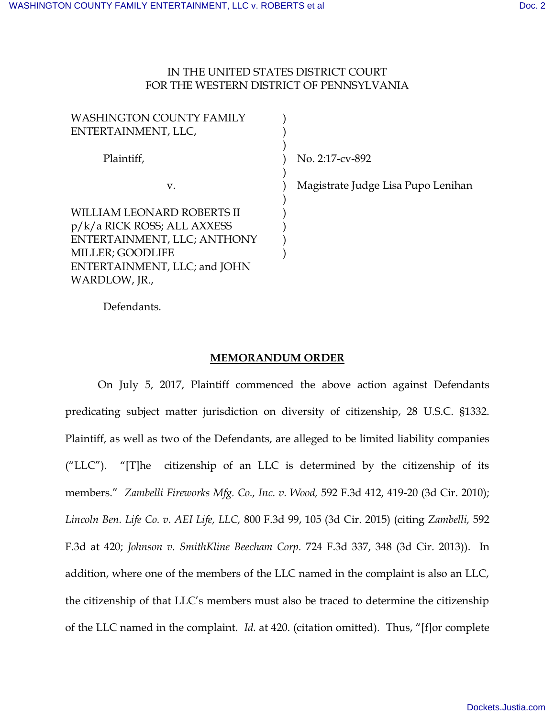## IN THE UNITED STATES DISTRICT COURT FOR THE WESTERN DISTRICT OF PENNSYLVANIA

| <b>WASHINGTON COUNTY FAMILY</b> |                                    |
|---------------------------------|------------------------------------|
| ENTERTAINMENT, LLC,             |                                    |
| Plaintiff,                      | No. 2:17-cv-892                    |
| V.                              | Magistrate Judge Lisa Pupo Lenihan |
| WILLIAM LEONARD ROBERTS II      |                                    |
| $p/k/a$ RICK ROSS; ALL AXXESS   |                                    |
| ENTERTAINMENT, LLC; ANTHONY     |                                    |
| MILLER; GOODLIFE                |                                    |
| ENTERTAINMENT, LLC; and JOHN    |                                    |
| WARDLOW, JR.,                   |                                    |

Defendants.

## **MEMORANDUM ORDER**

On July 5, 2017, Plaintiff commenced the above action against Defendants predicating subject matter jurisdiction on diversity of citizenship, 28 U.S.C. §1332. Plaintiff, as well as two of the Defendants, are alleged to be limited liability companies ("LLC"). "[T]he citizenship of an LLC is determined by the citizenship of its members." *Zambelli Fireworks Mfg. Co., Inc. v. Wood,* 592 F.3d 412, 419-20 (3d Cir. 2010); *Lincoln Ben. Life Co. v. AEI Life, LLC,* 800 F.3d 99, 105 (3d Cir. 2015) (citing *Zambelli,* 592 F.3d at 420; *Johnson v. SmithKline Beecham Corp.* 724 F.3d 337, 348 (3d Cir. 2013)). In addition, where one of the members of the LLC named in the complaint is also an LLC, the citizenship of that LLC's members must also be traced to determine the citizenship of the LLC named in the complaint. *Id.* at 420. (citation omitted). Thus, "[f]or complete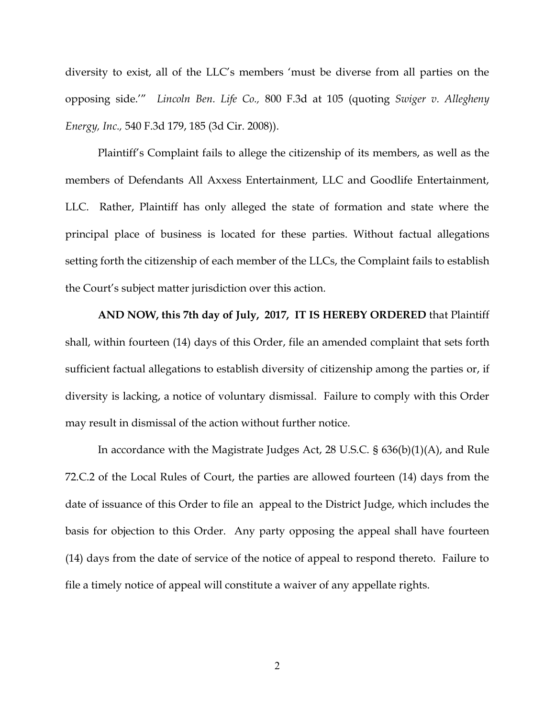diversity to exist, all of the LLC's members 'must be diverse from all parties on the opposing side.'" *Lincoln Ben. Life Co.,* 800 F.3d at 105 (quoting *Swiger v. Allegheny Energy, Inc.,* 540 F.3d 179, 185 (3d Cir. 2008)).

Plaintiff's Complaint fails to allege the citizenship of its members, as well as the members of Defendants All Axxess Entertainment, LLC and Goodlife Entertainment, LLC. Rather, Plaintiff has only alleged the state of formation and state where the principal place of business is located for these parties. Without factual allegations setting forth the citizenship of each member of the LLCs, the Complaint fails to establish the Court's subject matter jurisdiction over this action.

**AND NOW, this 7th day of July, 2017, IT IS HEREBY ORDERED** that Plaintiff shall, within fourteen (14) days of this Order, file an amended complaint that sets forth sufficient factual allegations to establish diversity of citizenship among the parties or, if diversity is lacking, a notice of voluntary dismissal. Failure to comply with this Order may result in dismissal of the action without further notice.

In accordance with the Magistrate Judges Act, 28 U.S.C. § 636(b)(1)(A), and Rule 72.C.2 of the Local Rules of Court, the parties are allowed fourteen (14) days from the date of issuance of this Order to file an appeal to the District Judge, which includes the basis for objection to this Order. Any party opposing the appeal shall have fourteen (14) days from the date of service of the notice of appeal to respond thereto. Failure to file a timely notice of appeal will constitute a waiver of any appellate rights.